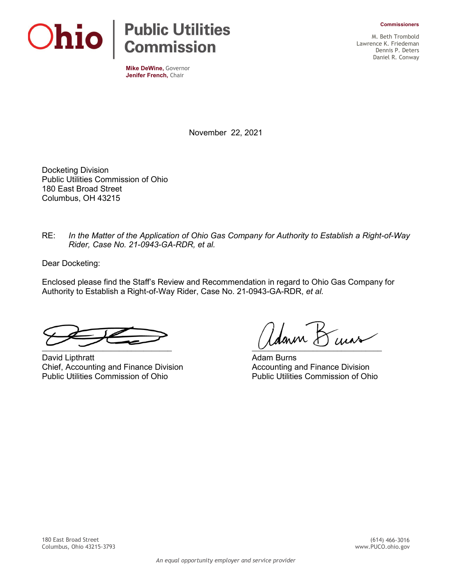



**Mike DeWine,** Governor **Jenifer French,** Chair

M. Beth Trombold Lawrence K. Friedeman Dennis P. Deters Daniel R. Conway

November 22, 2021

Docketing Division Public Utilities Commission of Ohio 180 East Broad Street Columbus, OH 43215

RE: *In the Matter of the Application of Ohio Gas Company for Authority to Establish a Right-of-Way Rider, Case No. 21-0943-GA-RDR, et al.* 

Dear Docketing:

Enclosed please find the Staff's Review and Recommendation in regard to Ohio Gas Company for Authority to Establish a Right-of-Way Rider, Case No. 21-0943-GA-RDR, *et al.*

David Lipthratt **Adam Burns** Contract Adam Burns Chief, Accounting and Finance Division and Accounting and Finance Division<br>Public Utilities Commission of Ohio Public Utilities Commission of Ohio

 $\mathcal{U}$ dann  $\mathcal{B}$  curs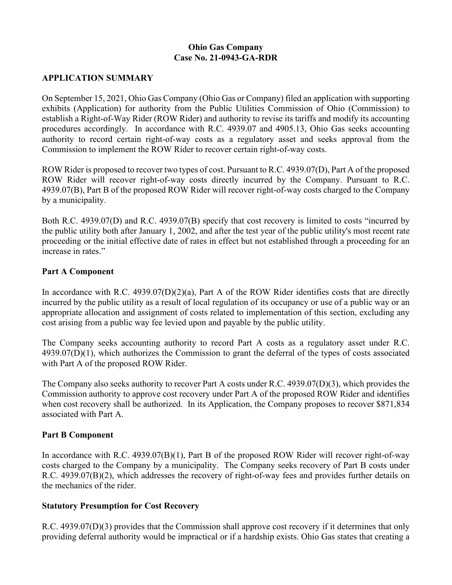## **Ohio Gas Company Case No. 21-0943-GA-RDR**

## **APPLICATION SUMMARY**

On September 15, 2021, Ohio Gas Company (Ohio Gas or Company) filed an application with supporting exhibits (Application) for authority from the Public Utilities Commission of Ohio (Commission) to establish a Right-of-Way Rider (ROW Rider) and authority to revise its tariffs and modify its accounting procedures accordingly. In accordance with R.C. 4939.07 and 4905.13, Ohio Gas seeks accounting authority to record certain right-of-way costs as a regulatory asset and seeks approval from the Commission to implement the ROW Rider to recover certain right-of-way costs.

ROW Rider is proposed to recover two types of cost. Pursuant to R.C. 4939.07(D), Part A of the proposed ROW Rider will recover right-of-way costs directly incurred by the Company. Pursuant to R.C. 4939.07(B), Part B of the proposed ROW Rider will recover right-of-way costs charged to the Company by a municipality.

Both R.C. 4939.07(D) and R.C. 4939.07(B) specify that cost recovery is limited to costs "incurred by the public utility both after January 1, 2002, and after the test year of the public utility's most recent rate proceeding or the initial effective date of rates in effect but not established through a proceeding for an increase in rates."

#### **Part A Component**

In accordance with R.C. 4939.07(D)(2)(a), Part A of the ROW Rider identifies costs that are directly incurred by the public utility as a result of local regulation of its occupancy or use of a public way or an appropriate allocation and assignment of costs related to implementation of this section, excluding any cost arising from a public way fee levied upon and payable by the public utility.

The Company seeks accounting authority to record Part A costs as a regulatory asset under R.C. 4939.07(D)(1), which authorizes the Commission to grant the deferral of the types of costs associated with Part A of the proposed ROW Rider.

The Company also seeks authority to recover Part A costs under R.C. 4939.07(D)(3), which provides the Commission authority to approve cost recovery under Part A of the proposed ROW Rider and identifies when cost recovery shall be authorized. In its Application, the Company proposes to recover \$871,834 associated with Part A.

#### **Part B Component**

In accordance with R.C. 4939.07(B)(1), Part B of the proposed ROW Rider will recover right-of-way costs charged to the Company by a municipality. The Company seeks recovery of Part B costs under R.C. 4939.07(B)(2), which addresses the recovery of right-of-way fees and provides further details on the mechanics of the rider.

#### **Statutory Presumption for Cost Recovery**

R.C. 4939.07(D)(3) provides that the Commission shall approve cost recovery if it determines that only providing deferral authority would be impractical or if a hardship exists. Ohio Gas states that creating a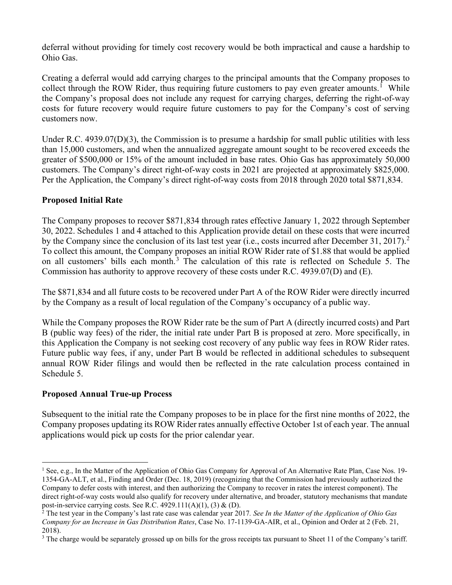deferral without providing for timely cost recovery would be both impractical and cause a hardship to Ohio Gas.

Creating a deferral would add carrying charges to the principal amounts that the Company proposes to collect through the ROW Rider, thus requiring future customers to pay even greater amounts.<sup>[1](#page-2-0)</sup> While the Company's proposal does not include any request for carrying charges, deferring the right-of-way costs for future recovery would require future customers to pay for the Company's cost of serving customers now.

Under R.C.  $4939.07(D)(3)$ , the Commission is to presume a hardship for small public utilities with less than 15,000 customers, and when the annualized aggregate amount sought to be recovered exceeds the greater of \$500,000 or 15% of the amount included in base rates. Ohio Gas has approximately 50,000 customers. The Company's direct right-of-way costs in 2021 are projected at approximately \$825,000. Per the Application, the Company's direct right-of-way costs from 2018 through 2020 total \$871,834.

## **Proposed Initial Rate**

The Company proposes to recover \$871,834 through rates effective January 1, 2022 through September 30, 2022. Schedules 1 and 4 attached to this Application provide detail on these costs that were incurred by the Company since the conclusion of its last test year (i.e., costs incurred after December 31, [2](#page-2-1)017).<sup>2</sup> To collect this amount, the Company proposes an initial ROW Rider rate of \$1.88 that would be applied on all customers' bills each month.<sup>[3](#page-2-2)</sup> The calculation of this rate is reflected on Schedule 5. The Commission has authority to approve recovery of these costs under R.C. 4939.07(D) and (E).

The \$871,834 and all future costs to be recovered under Part A of the ROW Rider were directly incurred by the Company as a result of local regulation of the Company's occupancy of a public way.

While the Company proposes the ROW Rider rate be the sum of Part A (directly incurred costs) and Part B (public way fees) of the rider, the initial rate under Part B is proposed at zero. More specifically, in this Application the Company is not seeking cost recovery of any public way fees in ROW Rider rates. Future public way fees, if any, under Part B would be reflected in additional schedules to subsequent annual ROW Rider filings and would then be reflected in the rate calculation process contained in Schedule 5.

# **Proposed Annual True-up Process**

Subsequent to the initial rate the Company proposes to be in place for the first nine months of 2022, the Company proposes updating its ROW Rider rates annually effective October 1st of each year. The annual applications would pick up costs for the prior calendar year.

<span id="page-2-0"></span><sup>&</sup>lt;sup>1</sup> See, e.g., In the Matter of the Application of Ohio Gas Company for Approval of An Alternative Rate Plan, Case Nos. 19-1354-GA-ALT, et al., Finding and Order (Dec. 18, 2019) (recognizing that the Commission had previously authorized the Company to defer costs with interest, and then authorizing the Company to recover in rates the interest component). The direct right-of-way costs would also qualify for recovery under alternative, and broader, statutory mechanisms that mandate post-in-service carrying costs. See R.C.  $4929.111(A)(1)$ ,  $(3)$  &  $(D)$ .

<span id="page-2-1"></span><sup>2</sup> The test year in the Company's last rate case was calendar year 2017*. See In the Matter of the Application of Ohio Gas Company for an Increase in Gas Distribution Rates*, Case No. 17-1139-GA-AIR, et al., Opinion and Order at 2 (Feb. 21, 2018).

<span id="page-2-2"></span> $3$  The charge would be separately grossed up on bills for the gross receipts tax pursuant to Sheet 11 of the Company's tariff.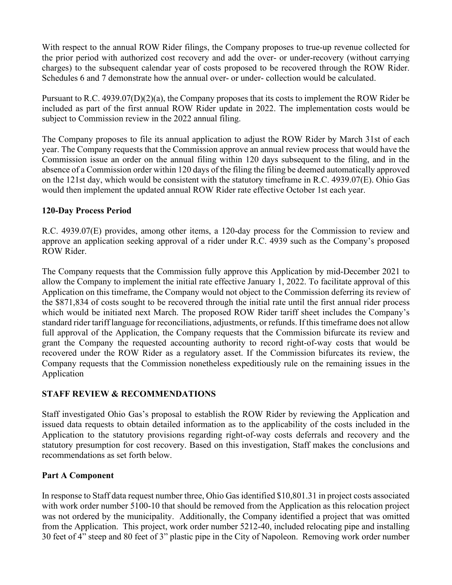With respect to the annual ROW Rider filings, the Company proposes to true-up revenue collected for the prior period with authorized cost recovery and add the over- or under-recovery (without carrying charges) to the subsequent calendar year of costs proposed to be recovered through the ROW Rider. Schedules 6 and 7 demonstrate how the annual over- or under- collection would be calculated.

Pursuant to R.C. 4939.07(D)(2)(a), the Company proposes that its costs to implement the ROW Rider be included as part of the first annual ROW Rider update in 2022. The implementation costs would be subject to Commission review in the 2022 annual filing.

The Company proposes to file its annual application to adjust the ROW Rider by March 31st of each year. The Company requests that the Commission approve an annual review process that would have the Commission issue an order on the annual filing within 120 days subsequent to the filing, and in the absence of a Commission order within 120 days of the filing the filing be deemed automatically approved on the 121st day, which would be consistent with the statutory timeframe in R.C. 4939.07(E). Ohio Gas would then implement the updated annual ROW Rider rate effective October 1st each year.

## **120-Day Process Period**

R.C. 4939.07(E) provides, among other items, a 120-day process for the Commission to review and approve an application seeking approval of a rider under R.C. 4939 such as the Company's proposed ROW Rider.

The Company requests that the Commission fully approve this Application by mid-December 2021 to allow the Company to implement the initial rate effective January 1, 2022. To facilitate approval of this Application on this timeframe, the Company would not object to the Commission deferring its review of the \$871,834 of costs sought to be recovered through the initial rate until the first annual rider process which would be initiated next March. The proposed ROW Rider tariff sheet includes the Company's standard rider tariff language for reconciliations, adjustments, or refunds. If this timeframe does not allow full approval of the Application, the Company requests that the Commission bifurcate its review and grant the Company the requested accounting authority to record right-of-way costs that would be recovered under the ROW Rider as a regulatory asset. If the Commission bifurcates its review, the Company requests that the Commission nonetheless expeditiously rule on the remaining issues in the Application

# **STAFF REVIEW & RECOMMENDATIONS**

Staff investigated Ohio Gas's proposal to establish the ROW Rider by reviewing the Application and issued data requests to obtain detailed information as to the applicability of the costs included in the Application to the statutory provisions regarding right-of-way costs deferrals and recovery and the statutory presumption for cost recovery. Based on this investigation, Staff makes the conclusions and recommendations as set forth below.

#### **Part A Component**

In response to Staff data request number three, Ohio Gas identified \$10,801.31 in project costs associated with work order number 5100-10 that should be removed from the Application as this relocation project was not ordered by the municipality. Additionally, the Company identified a project that was omitted from the Application. This project, work order number 5212-40, included relocating pipe and installing 30 feet of 4" steep and 80 feet of 3" plastic pipe in the City of Napoleon. Removing work order number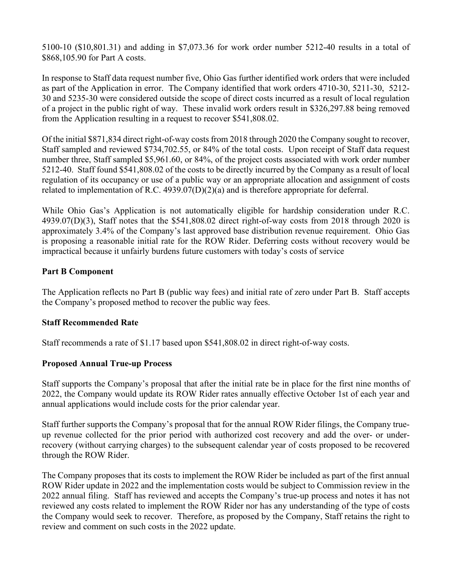5100-10 (\$10,801.31) and adding in \$7,073.36 for work order number 5212-40 results in a total of \$868,105.90 for Part A costs.

In response to Staff data request number five, Ohio Gas further identified work orders that were included as part of the Application in error. The Company identified that work orders 4710-30, 5211-30, 5212- 30 and 5235-30 were considered outside the scope of direct costs incurred as a result of local regulation of a project in the public right of way. These invalid work orders result in \$326,297.88 being removed from the Application resulting in a request to recover \$541,808.02.

Of the initial \$871,834 direct right-of-way costs from 2018 through 2020 the Company sought to recover, Staff sampled and reviewed \$734,702.55, or 84% of the total costs. Upon receipt of Staff data request number three, Staff sampled \$5,961.60, or 84%, of the project costs associated with work order number 5212-40. Staff found \$541,808.02 of the costs to be directly incurred by the Company as a result of local regulation of its occupancy or use of a public way or an appropriate allocation and assignment of costs related to implementation of R.C. 4939.07(D)(2)(a) and is therefore appropriate for deferral.

While Ohio Gas's Application is not automatically eligible for hardship consideration under R.C. 4939.07(D)(3), Staff notes that the \$541,808.02 direct right-of-way costs from 2018 through 2020 is approximately 3.4% of the Company's last approved base distribution revenue requirement. Ohio Gas is proposing a reasonable initial rate for the ROW Rider. Deferring costs without recovery would be impractical because it unfairly burdens future customers with today's costs of service

# **Part B Component**

The Application reflects no Part B (public way fees) and initial rate of zero under Part B. Staff accepts the Company's proposed method to recover the public way fees.

# **Staff Recommended Rate**

Staff recommends a rate of \$1.17 based upon \$541,808.02 in direct right-of-way costs.

# **Proposed Annual True-up Process**

Staff supports the Company's proposal that after the initial rate be in place for the first nine months of 2022, the Company would update its ROW Rider rates annually effective October 1st of each year and annual applications would include costs for the prior calendar year.

Staff further supports the Company's proposal that for the annual ROW Rider filings, the Company trueup revenue collected for the prior period with authorized cost recovery and add the over- or underrecovery (without carrying charges) to the subsequent calendar year of costs proposed to be recovered through the ROW Rider.

The Company proposes that its costs to implement the ROW Rider be included as part of the first annual ROW Rider update in 2022 and the implementation costs would be subject to Commission review in the 2022 annual filing. Staff has reviewed and accepts the Company's true-up process and notes it has not reviewed any costs related to implement the ROW Rider nor has any understanding of the type of costs the Company would seek to recover. Therefore, as proposed by the Company, Staff retains the right to review and comment on such costs in the 2022 update.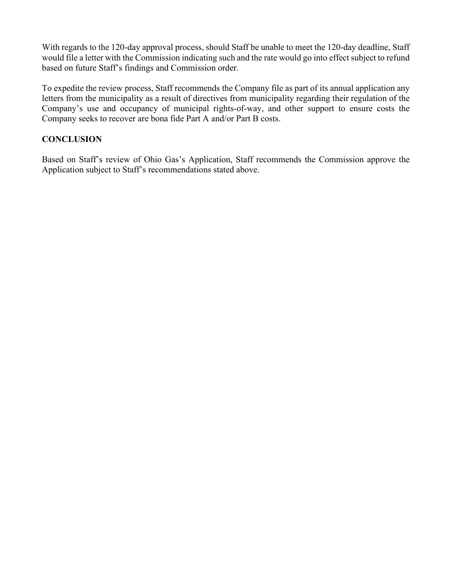With regards to the 120-day approval process, should Staff be unable to meet the 120-day deadline, Staff would file a letter with the Commission indicating such and the rate would go into effect subject to refund based on future Staff's findings and Commission order.

To expedite the review process, Staff recommends the Company file as part of its annual application any letters from the municipality as a result of directives from municipality regarding their regulation of the Company's use and occupancy of municipal rights-of-way, and other support to ensure costs the Company seeks to recover are bona fide Part A and/or Part B costs.

# **CONCLUSION**

Based on Staff's review of Ohio Gas's Application, Staff recommends the Commission approve the Application subject to Staff's recommendations stated above.